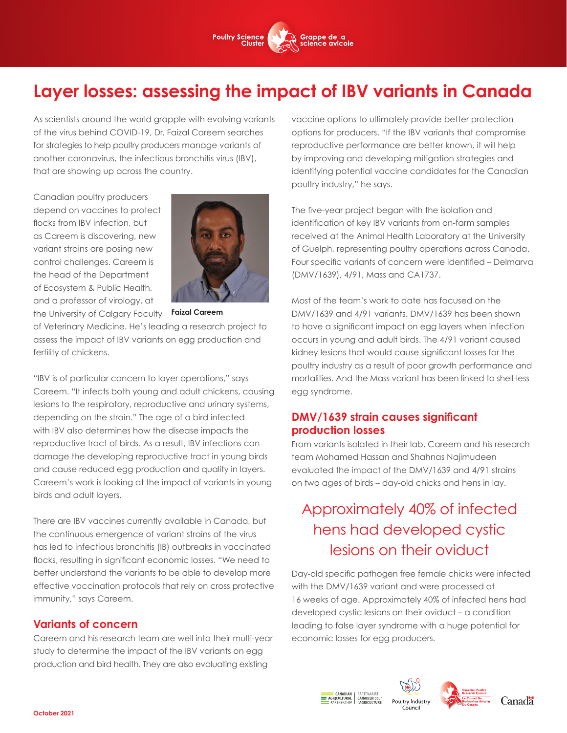

# **Layer losses: assessing the impact of IBV variants in Canada**

As scientists around the world grapple with evolving variants of the virus behind COVID-19, Dr. Faizal Careem searches for strategies to help poultry producers manage variants of another coronavirus, the infectious bronchitis virus (IBV), that are showing up across the country.

Canadian poultry producers depend on vaccines to protect flocks from IBV infection, but as Careem is discovering, new variant strains are posing new control challenges. Careem is the head of the Department of Ecosystem & Public Health, and a professor of virology, at the University of Calgary Faculty



**Faizal Careem** 

of Veterinary Medicine. He's leading a research project to assess the impact of IBV variants on egg production and fertility of chickens.

"IBV is of particular concern to layer operations," says Careem. "It infects both young and adult chickens, causing lesions to the respiratory, reproductive and urinary systems, depending on the strain." The age of a bird infected with IBV also determines how the disease impacts the reproductive tract of birds. As a result, IBV infections can damage the developing reproductive tract in young birds and cause reduced egg production and quality in layers. Careem's work is looking at the impact of variants in young birds and adult layers.

There are IBV vaccines currently available in Canada, but the continuous emergence of variant strains of the virus has led to infectious bronchitis (IB) outbreaks in vaccinated flocks, resulting in significant economic losses. "We need to better understand the variants to be able to develop more effective vaccination protocols that rely on cross protective immunity," says Careem.

### **Variants of concern**

Careem and his research team are well into their multi-year study to determine the impact of the IBV variants on egg production and bird health. They are also evaluating existing

vaccine options to ultimately provide better protection options for producers. "If the IBV variants that compromise reproductive performance are better known, it will help by improving and developing mitigation strategies and identifying potential vaccine candidates for the Canadian poultry industry," he says.

The five-year project began with the isolation and identification of key IBV variants from on-farm samples received at the Animal Health Laboratory at the University of Guelph, representing poultry operations across Canada. Four specific variants of concern were identified – Delmarva (DMV/1639), 4/91, Mass and CA1737.

Most of the team's work to date has focused on the DMV/1639 and 4/91 variants. DMV/1639 has been shown to have a significant impact on egg layers when infection occurs in young and adult birds. The 4/91 variant caused kidney lesions that would cause significant losses for the poultry industry as a result of poor growth performance and mortalities. And the Mass variant has been linked to shell-less egg syndrome.

## **DMV/1639 strain causes significant production losses**

From variants isolated in their lab, Careem and his research team Mohamed Hassan and Shahnas Najimudeen evaluated the impact of the DMV/1639 and 4/91 strains on two ages of birds – day-old chicks and hens in lay.

# Approximately 40% of infected hens had developed cystic lesions on their oviduct

Day-old specific pathogen free female chicks were infected with the DMV/1639 variant and were processed at 16 weeks of age. Approximately 40% of infected hens had developed cystic lesions on their oviduct – a condition leading to false layer syndrome with a huge potential for economic losses for egg producers.